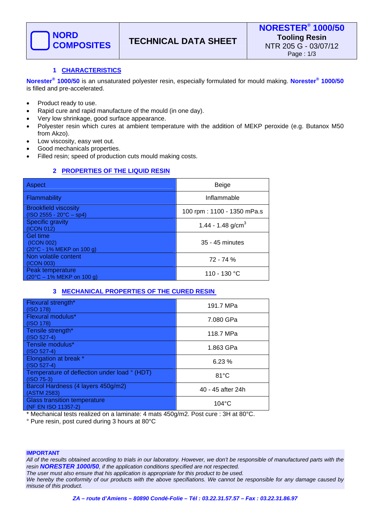

# **1 CHARACTERISTICS**

**Norester® 1000/50** is an unsaturated polyester resin, especially formulated for mould making. **Norester® 1000/50** is filled and pre-accelerated.

- Product ready to use.
- Rapid cure and rapid manufacture of the mould (in one day).
- Very low shrinkage, good surface appearance.
- Polyester resin which cures at ambient temperature with the addition of MEKP peroxide (e.g. Butanox M50 from Akzo).
- Low viscosity, easy wet out.
- Good mechanicals properties.
- Filled resin; speed of production cuts mould making costs.

# **2 PROPERTIES OF THE LIQUID RESIN**

| Aspect                                                                   | Beige                         |
|--------------------------------------------------------------------------|-------------------------------|
| Flammability                                                             | Inflammable                   |
| <b>Brookfield viscosity</b><br>$(ISO 2555 - 20^{\circ}C - sp4)$          | 100 rpm: 1100 - 1350 mPa.s    |
| <b>Specific gravity</b><br>(ICON 012)                                    | 1.44 - 1.48 g/cm <sup>3</sup> |
| Gel time<br>(ICON 002)<br>(20°C - 1% MEKP on 100 g)                      | 35 - 45 minutes               |
| Non volatile content<br>(ICON 003)                                       | 72 - 74 %                     |
| Peak temperature<br>$(20^{\circ}C - 1\% \text{ MEKP on } 100 \text{ g})$ | 110 - 130 °C                  |

## **3 MECHANICAL PROPERTIES OF THE CURED RESIN**

| Flexural strength*<br>(ISO 178)                              | 191.7 MPa         |
|--------------------------------------------------------------|-------------------|
| Flexural modulus*<br>(ISO 178)                               | 7.080 GPa         |
| Tensile strength*<br>$(ISO 527-4)$                           | 118.7 MPa         |
| Tensile modulus*<br>$(ISO 527-4)$                            | 1.863 GPa         |
| Elongation at break *<br>$(ISO 527-4)$                       | 6.23%             |
| Temperature of deflection under load ° (HDT)<br>$(ISO 75-3)$ | $81^{\circ}$ C    |
| Barcol Hardness (4 layers 450g/m2)<br>(ASTM 2583)            | 40 - 45 after 24h |
| <b>Glass transition temperature</b><br>(NF EN ISO 11357-2)   | $104^{\circ}$ C   |

\* Mechanical tests realized on a laminate: 4 mats 450g/m2. Post cure : 3H at 80°C.

° Pure resin, post cured during 3 hours at 80°C

#### **IMPORTANT**

*All of the results obtained according to trials in our laboratory. However, we don't be responsible of manufactured parts with the resin NORESTER 1000/50, if the application conditions specified are not respected.* 

*The user must also ensure that his application is appropriate for this product to be used. We hereby the conformity of our products with the above specifiations. We cannot be responsible for any damage caused by* 

*misuse of this product.*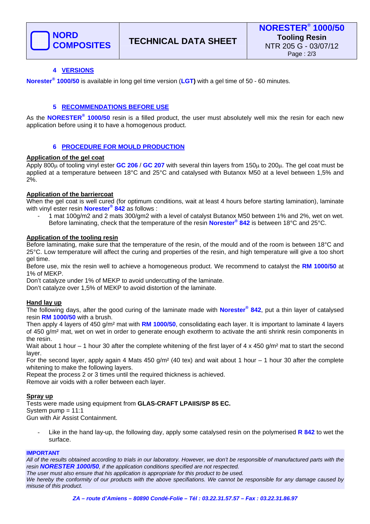

# **4 VERSIONS**

**Norester® 1000/50** is available in long gel time version (**LGT)** with a gel time of 50 - 60 minutes.

## **5 RECOMMENDATIONS BEFORE USE**

As the **NORESTER® 1000/50** resin is a filled product, the user must absolutely well mix the resin for each new application before using it to have a homogenous product.

### **6 PROCEDURE FOR MOULD PRODUCTION**

### **Application of the gel coat**

Apply 800μ of tooling vinyl ester **GC 206** / **GC 207** with several thin layers from 150μ to 200μ. The gel coat must be applied at a temperature between 18°C and 25°C and catalysed with Butanox M50 at a level between 1,5% and 2%.

### **Application of the barriercoat**

When the gel coat is well cured (for optimum conditions, wait at least 4 hours before starting lamination), laminate with vinyl ester resin **Norester® 842** as follows :

- 1 mat 100g/m2 and 2 mats 300/gm2 with a level of catalyst Butanox M50 between 1% and 2%, wet on wet. Before laminating, check that the temperature of the resin **Norester® 842** is between 18°C and 25°C.

### **Application of the tooling resin**

Before laminating, make sure that the temperature of the resin, of the mould and of the room is between 18°C and 25°C. Low temperature will affect the curing and properties of the resin, and high temperature will give a too short gel time.

Before use, mix the resin well to achieve a homogeneous product. We recommend to catalyst the **RM 1000/50** at 1% of MEKP.

Don't catalyze under 1% of MEKP to avoid undercutting of the laminate.

Don't catalyze over 1,5% of MEKP to avoid distortion of the laminate.

### **Hand lay up**

The following days, after the good curing of the laminate made with **Norester® 842**, put a thin layer of catalysed resin **RM 1000/50** with a brush.

Then apply 4 layers of 450 g/m² mat with **RM 1000/50**, consolidating each layer. It is important to laminate 4 layers of 450 g/m² mat, wet on wet in order to generate enough exotherm to activate the anti shrink resin components in the resin.

Wait about 1 hour – 1 hour 30 after the complete whitening of the first layer of 4 x 450 g/m<sup>2</sup> mat to start the second layer.

For the second layer, apply again 4 Mats 450 g/m<sup>2</sup> (40 tex) and wait about 1 hour  $-1$  hour 30 after the complete whitening to make the following layers.

Repeat the process 2 or 3 times until the required thickness is achieved.

Remove air voids with a roller between each layer.

### **Spray up**

Tests were made using equipment from **GLAS-CRAFT LPAIIS/SP 85 EC.** System pump = 11:1 Gun with Air Assist Containment.

Like in the hand lay-up, the following day, apply some catalysed resin on the polymerised **R 842** to wet the surface.

#### **IMPORTANT**

*All of the results obtained according to trials in our laboratory. However, we don't be responsible of manufactured parts with the resin NORESTER 1000/50, if the application conditions specified are not respected. The user must also ensure that his application is appropriate for this product to be used.* 

*We hereby the conformity of our products with the above specifiations. We cannot be responsible for any damage caused by misuse of this product.*